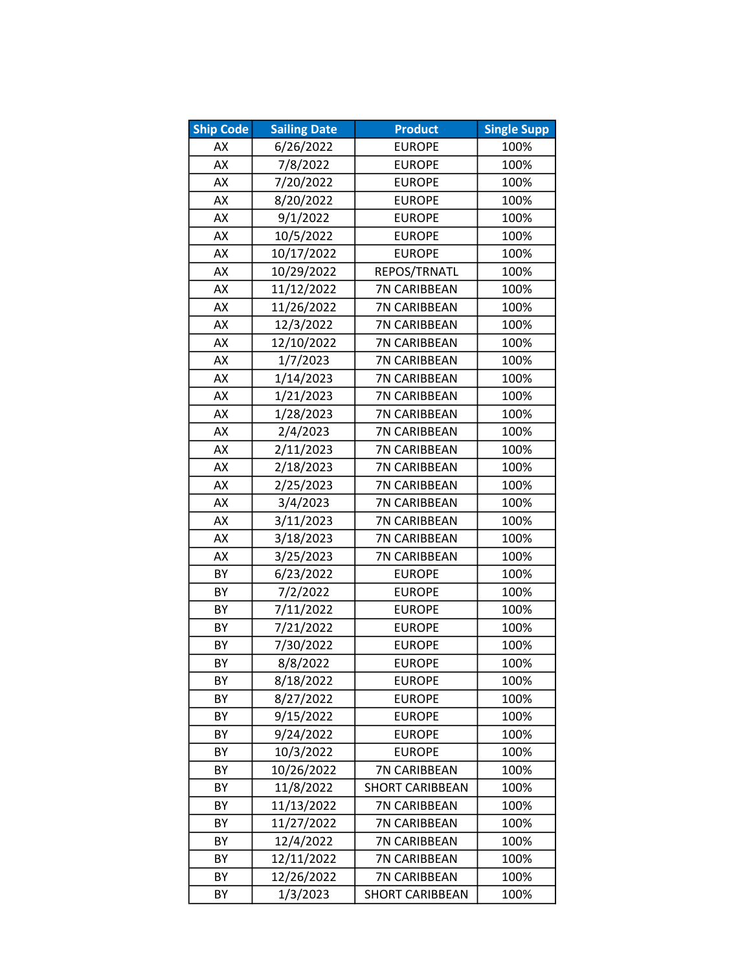| <b>Ship Code</b> | <b>Sailing Date</b> | <b>Product</b>         | <b>Single Supp</b> |
|------------------|---------------------|------------------------|--------------------|
| AX               | 6/26/2022           | <b>EUROPE</b>          | 100%               |
| AX               | 7/8/2022            | <b>EUROPE</b>          | 100%               |
| AX               | 7/20/2022           | <b>EUROPE</b>          | 100%               |
| AX               | 8/20/2022           | <b>EUROPE</b>          | 100%               |
| AX               | 9/1/2022            | <b>EUROPE</b>          | 100%               |
| AX               | 10/5/2022           | <b>EUROPE</b>          | 100%               |
| AX               | 10/17/2022          | <b>EUROPE</b>          | 100%               |
| AX               | 10/29/2022          | REPOS/TRNATL           | 100%               |
| AX               | 11/12/2022          | 7N CARIBBEAN           | 100%               |
| AX               | 11/26/2022          | 7N CARIBBEAN           | 100%               |
| AX               | 12/3/2022           | 7N CARIBBEAN           | 100%               |
| AX               | 12/10/2022          | 7N CARIBBEAN           | 100%               |
| AX               | 1/7/2023            | 7N CARIBBEAN           | 100%               |
| AX               | 1/14/2023           | 7N CARIBBEAN           | 100%               |
| AX               | 1/21/2023           | 7N CARIBBEAN           | 100%               |
| AX               | 1/28/2023           | 7N CARIBBEAN           | 100%               |
| AX               | 2/4/2023            | 7N CARIBBEAN           | 100%               |
| AX               | 2/11/2023           | 7N CARIBBEAN           | 100%               |
| AX               | 2/18/2023           | 7N CARIBBEAN           | 100%               |
| AX               | 2/25/2023           | 7N CARIBBEAN           | 100%               |
| AX               | 3/4/2023            | 7N CARIBBEAN           | 100%               |
| AX               | 3/11/2023           | 7N CARIBBEAN           | 100%               |
| AX               | 3/18/2023           | 7N CARIBBEAN           | 100%               |
| AX               | 3/25/2023           | 7N CARIBBEAN           | 100%               |
| BY               | 6/23/2022           | <b>EUROPE</b>          | 100%               |
| BY               | 7/2/2022            | <b>EUROPE</b>          | 100%               |
| BY               | 7/11/2022           | <b>EUROPE</b>          | 100%               |
| BY               | 7/21/2022           | <b>EUROPE</b>          | 100%               |
| BY               | 7/30/2022           | <b>EUROPE</b>          | 100%               |
| BY               | 8/8/2022            | <b>EUROPE</b>          | 100%               |
| BY               | 8/18/2022           | <b>EUROPE</b>          | 100%               |
| BY               | 8/27/2022           | <b>EUROPE</b>          | 100%               |
| BY               | 9/15/2022           | <b>EUROPE</b>          | 100%               |
| BY               | 9/24/2022           | <b>EUROPE</b>          | 100%               |
| BY               | 10/3/2022           | <b>EUROPE</b>          | 100%               |
| BY               | 10/26/2022          | 7N CARIBBEAN           | 100%               |
| BY               | 11/8/2022           | <b>SHORT CARIBBEAN</b> | 100%               |
| BY               | 11/13/2022          | 7N CARIBBEAN           | 100%               |
| BY               | 11/27/2022          | <b>7N CARIBBEAN</b>    | 100%               |
| BY               | 12/4/2022           | 7N CARIBBEAN           | 100%               |
| BY               | 12/11/2022          | 7N CARIBBEAN           | 100%               |
| BY               | 12/26/2022          | 7N CARIBBEAN           | 100%               |
| BY               | 1/3/2023            | <b>SHORT CARIBBEAN</b> | 100%               |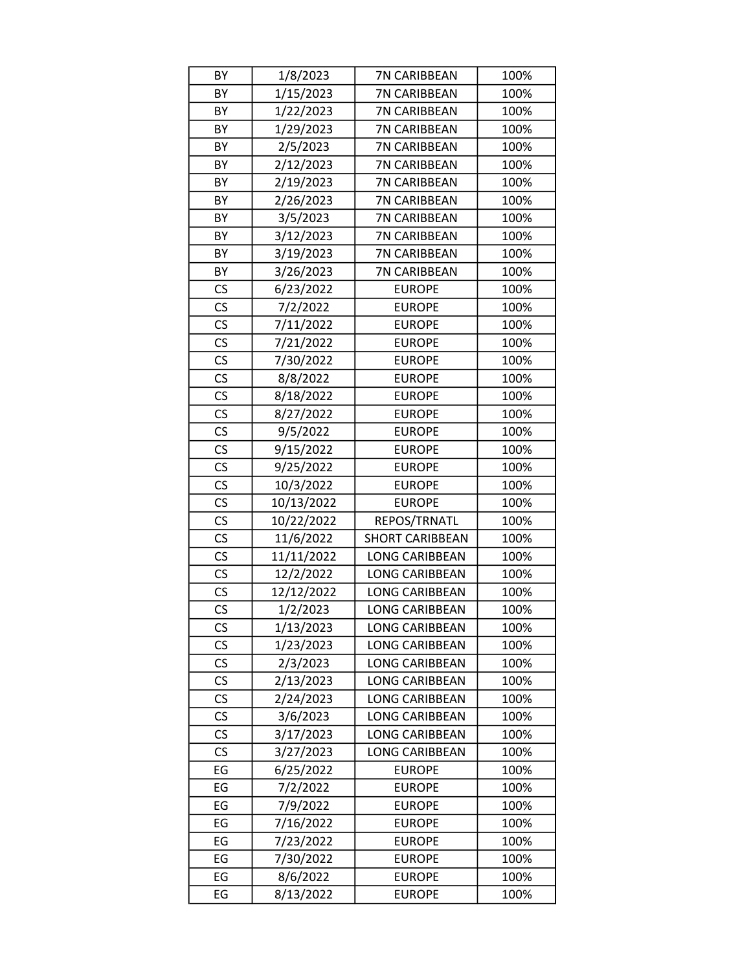| BY                       | 1/8/2023   | 7N CARIBBEAN           | 100% |
|--------------------------|------------|------------------------|------|
| BY                       | 1/15/2023  | 7N CARIBBEAN           | 100% |
| BY                       | 1/22/2023  | 7N CARIBBEAN           | 100% |
| BY                       | 1/29/2023  | 7N CARIBBEAN           | 100% |
| BY                       | 2/5/2023   | 7N CARIBBEAN           | 100% |
| BY                       | 2/12/2023  | 7N CARIBBEAN           | 100% |
| BY                       | 2/19/2023  | 7N CARIBBEAN           | 100% |
| BY                       | 2/26/2023  | 7N CARIBBEAN           | 100% |
| BY                       | 3/5/2023   | 7N CARIBBEAN           | 100% |
| BY                       | 3/12/2023  | 7N CARIBBEAN           | 100% |
| BY                       | 3/19/2023  | 7N CARIBBEAN           | 100% |
| BY                       | 3/26/2023  | 7N CARIBBEAN           | 100% |
| <b>CS</b>                | 6/23/2022  | <b>EUROPE</b>          | 100% |
| CS                       | 7/2/2022   | <b>EUROPE</b>          | 100% |
| CS                       | 7/11/2022  | <b>EUROPE</b>          | 100% |
| $\mathsf{CS}\phantom{0}$ | 7/21/2022  | <b>EUROPE</b>          | 100% |
| CS                       | 7/30/2022  | <b>EUROPE</b>          | 100% |
| CS                       | 8/8/2022   | <b>EUROPE</b>          | 100% |
| CS                       | 8/18/2022  | <b>EUROPE</b>          | 100% |
| CS                       | 8/27/2022  | <b>EUROPE</b>          | 100% |
| $\mathsf{CS}\phantom{0}$ | 9/5/2022   | <b>EUROPE</b>          | 100% |
| CS                       | 9/15/2022  | <b>EUROPE</b>          | 100% |
| CS                       | 9/25/2022  | <b>EUROPE</b>          | 100% |
| CS                       | 10/3/2022  | <b>EUROPE</b>          | 100% |
| CS                       | 10/13/2022 | <b>EUROPE</b>          | 100% |
| CS                       | 10/22/2022 | REPOS/TRNATL           | 100% |
| CS                       | 11/6/2022  | <b>SHORT CARIBBEAN</b> | 100% |
| CS                       | 11/11/2022 | <b>LONG CARIBBEAN</b>  | 100% |
| CS                       | 12/2/2022  | <b>LONG CARIBBEAN</b>  | 100% |
| $\mathsf{CS}\phantom{0}$ | 12/12/2022 | <b>LONG CARIBBEAN</b>  | 100% |
| $\overline{\text{CS}}$   | 1/2/2023   | <b>LONG CARIBBEAN</b>  | 100% |
| CS                       | 1/13/2023  | <b>LONG CARIBBEAN</b>  | 100% |
| CS                       | 1/23/2023  | <b>LONG CARIBBEAN</b>  | 100% |
| CS                       | 2/3/2023   | <b>LONG CARIBBEAN</b>  | 100% |
| CS                       | 2/13/2023  | <b>LONG CARIBBEAN</b>  | 100% |
| CS                       | 2/24/2023  | <b>LONG CARIBBEAN</b>  | 100% |
| CS                       | 3/6/2023   | LONG CARIBBEAN         | 100% |
| CS                       | 3/17/2023  | LONG CARIBBEAN         | 100% |
| CS                       | 3/27/2023  | <b>LONG CARIBBEAN</b>  | 100% |
| EG                       | 6/25/2022  | <b>EUROPE</b>          | 100% |
| EG                       | 7/2/2022   | <b>EUROPE</b>          | 100% |
| EG                       | 7/9/2022   | <b>EUROPE</b>          | 100% |
| EG                       | 7/16/2022  | <b>EUROPE</b>          | 100% |
| EG                       | 7/23/2022  | <b>EUROPE</b>          | 100% |
| EG                       | 7/30/2022  | <b>EUROPE</b>          | 100% |
| EG                       | 8/6/2022   | <b>EUROPE</b>          | 100% |
| EG                       | 8/13/2022  | <b>EUROPE</b>          | 100% |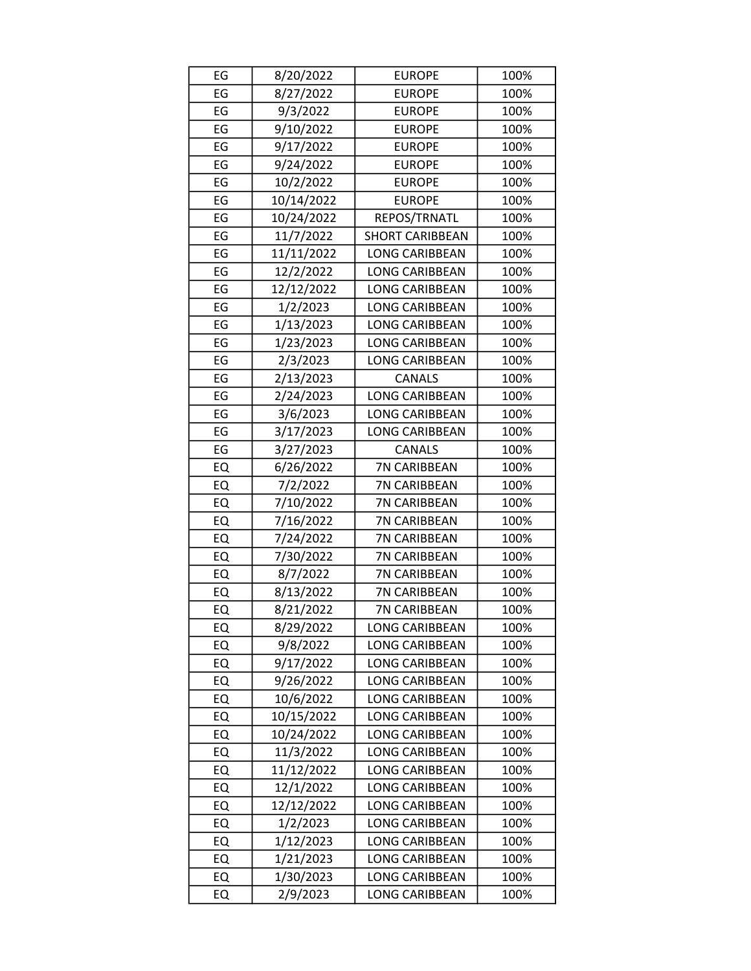| EG | 8/20/2022  | <b>EUROPE</b>          | 100% |
|----|------------|------------------------|------|
| EG | 8/27/2022  | <b>EUROPE</b>          | 100% |
| EG | 9/3/2022   | <b>EUROPE</b>          | 100% |
| EG | 9/10/2022  | <b>EUROPE</b>          | 100% |
| EG | 9/17/2022  | <b>EUROPE</b>          | 100% |
| EG | 9/24/2022  | <b>EUROPE</b>          | 100% |
| EG | 10/2/2022  | <b>EUROPE</b>          | 100% |
| EG | 10/14/2022 | <b>EUROPE</b>          | 100% |
| EG | 10/24/2022 | REPOS/TRNATL           | 100% |
| EG | 11/7/2022  | <b>SHORT CARIBBEAN</b> | 100% |
| EG | 11/11/2022 | <b>LONG CARIBBEAN</b>  | 100% |
| EG | 12/2/2022  | LONG CARIBBEAN         | 100% |
| EG | 12/12/2022 | <b>LONG CARIBBEAN</b>  | 100% |
| EG | 1/2/2023   | <b>LONG CARIBBEAN</b>  | 100% |
| EG | 1/13/2023  | LONG CARIBBEAN         | 100% |
| EG | 1/23/2023  | <b>LONG CARIBBEAN</b>  | 100% |
| EG | 2/3/2023   | <b>LONG CARIBBEAN</b>  | 100% |
| EG | 2/13/2023  | <b>CANALS</b>          | 100% |
| EG | 2/24/2023  | <b>LONG CARIBBEAN</b>  | 100% |
| EG | 3/6/2023   | <b>LONG CARIBBEAN</b>  | 100% |
| EG | 3/17/2023  | <b>LONG CARIBBEAN</b>  | 100% |
| EG | 3/27/2023  | <b>CANALS</b>          | 100% |
| EQ | 6/26/2022  | 7N CARIBBEAN           | 100% |
| EQ | 7/2/2022   | 7N CARIBBEAN           | 100% |
| EQ | 7/10/2022  | 7N CARIBBEAN           | 100% |
| EQ | 7/16/2022  | 7N CARIBBEAN           | 100% |
| EQ | 7/24/2022  | 7N CARIBBEAN           | 100% |
| EQ | 7/30/2022  | 7N CARIBBEAN           | 100% |
| EQ | 8/7/2022   | 7N CARIBBEAN           | 100% |
| EQ | 8/13/2022  | 7N CARIBBEAN           | 100% |
| EQ | 8/21/2022  | 7N CARIBBEAN           | 100% |
| EQ | 8/29/2022  | <b>LONG CARIBBEAN</b>  | 100% |
| EQ | 9/8/2022   | <b>LONG CARIBBEAN</b>  | 100% |
| EQ | 9/17/2022  | <b>LONG CARIBBEAN</b>  | 100% |
| EQ | 9/26/2022  | <b>LONG CARIBBEAN</b>  | 100% |
| EQ | 10/6/2022  | <b>LONG CARIBBEAN</b>  | 100% |
| EQ | 10/15/2022 | <b>LONG CARIBBEAN</b>  | 100% |
| EQ | 10/24/2022 | <b>LONG CARIBBEAN</b>  | 100% |
| EQ | 11/3/2022  | <b>LONG CARIBBEAN</b>  | 100% |
| EQ | 11/12/2022 | <b>LONG CARIBBEAN</b>  | 100% |
| EQ | 12/1/2022  | LONG CARIBBEAN         | 100% |
| EQ | 12/12/2022 | LONG CARIBBEAN         | 100% |
| EQ | 1/2/2023   | <b>LONG CARIBBEAN</b>  | 100% |
| EQ | 1/12/2023  | <b>LONG CARIBBEAN</b>  | 100% |
| EQ | 1/21/2023  | <b>LONG CARIBBEAN</b>  | 100% |
| EQ | 1/30/2023  | <b>LONG CARIBBEAN</b>  | 100% |
| EQ | 2/9/2023   | LONG CARIBBEAN         | 100% |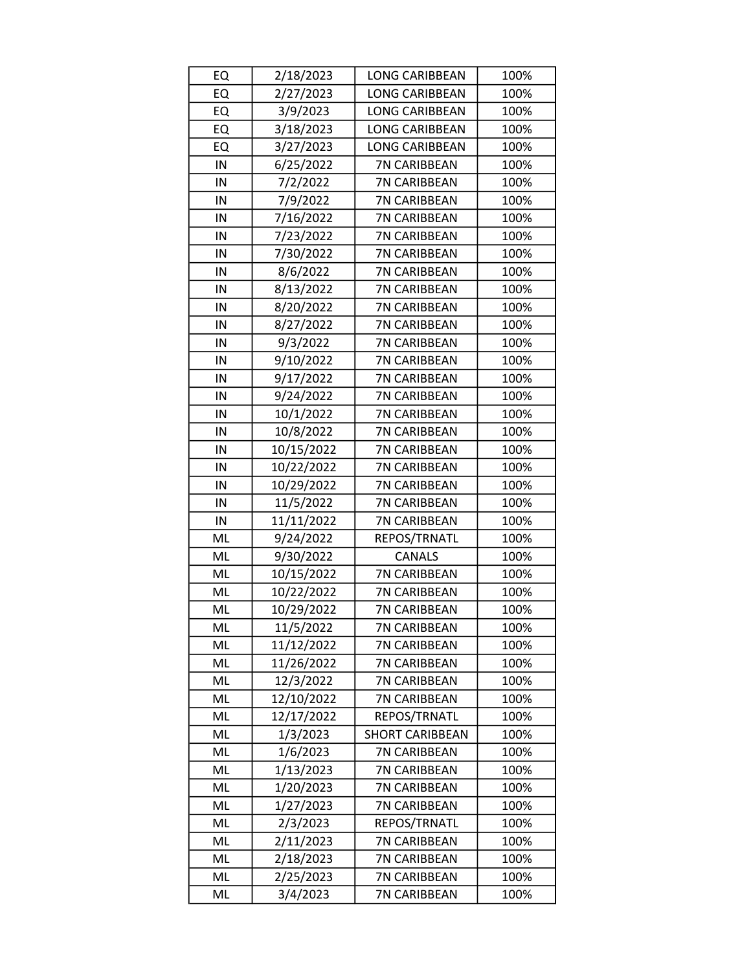| EQ | 2/18/2023  | <b>LONG CARIBBEAN</b>  | 100% |
|----|------------|------------------------|------|
| EQ | 2/27/2023  | <b>LONG CARIBBEAN</b>  | 100% |
| EQ | 3/9/2023   | <b>LONG CARIBBEAN</b>  | 100% |
| EQ | 3/18/2023  | <b>LONG CARIBBEAN</b>  | 100% |
| EQ | 3/27/2023  | <b>LONG CARIBBEAN</b>  | 100% |
| IN | 6/25/2022  | 7N CARIBBEAN           | 100% |
| IN | 7/2/2022   | 7N CARIBBEAN           | 100% |
| IN | 7/9/2022   | 7N CARIBBEAN           | 100% |
| IN | 7/16/2022  | 7N CARIBBEAN           | 100% |
| IN | 7/23/2022  | 7N CARIBBEAN           | 100% |
| IN | 7/30/2022  | 7N CARIBBEAN           | 100% |
| IN | 8/6/2022   | 7N CARIBBEAN           | 100% |
| IN | 8/13/2022  | 7N CARIBBEAN           | 100% |
| IN | 8/20/2022  | 7N CARIBBEAN           | 100% |
| IN | 8/27/2022  | 7N CARIBBEAN           | 100% |
| IN | 9/3/2022   | 7N CARIBBEAN           | 100% |
| IN | 9/10/2022  | 7N CARIBBEAN           | 100% |
| IN | 9/17/2022  | 7N CARIBBEAN           | 100% |
| IN | 9/24/2022  | 7N CARIBBEAN           | 100% |
| IN | 10/1/2022  | 7N CARIBBEAN           | 100% |
| IN | 10/8/2022  | 7N CARIBBEAN           | 100% |
| IN | 10/15/2022 | 7N CARIBBEAN           | 100% |
| IN | 10/22/2022 | 7N CARIBBEAN           | 100% |
| IN | 10/29/2022 | 7N CARIBBEAN           | 100% |
| IN | 11/5/2022  | 7N CARIBBEAN           | 100% |
| IN | 11/11/2022 | 7N CARIBBEAN           | 100% |
| ML | 9/24/2022  | REPOS/TRNATL           | 100% |
| ML | 9/30/2022  | CANALS                 | 100% |
| ML | 10/15/2022 | 7N CARIBBEAN           | 100% |
| ML | 10/22/2022 | 7N CARIBBEAN           | 100% |
| ML | 10/29/2022 | 7N CARIBBEAN           | 100% |
| ML | 11/5/2022  | 7N CARIBBEAN           | 100% |
| ML | 11/12/2022 | <b>7N CARIBBEAN</b>    | 100% |
| ML | 11/26/2022 | 7N CARIBBEAN           | 100% |
| ML | 12/3/2022  | 7N CARIBBEAN           | 100% |
| ML | 12/10/2022 | 7N CARIBBEAN           | 100% |
| ML | 12/17/2022 | REPOS/TRNATL           | 100% |
| ML | 1/3/2023   | <b>SHORT CARIBBEAN</b> | 100% |
| ML | 1/6/2023   | 7N CARIBBEAN           | 100% |
| ML | 1/13/2023  | 7N CARIBBEAN           | 100% |
| ML | 1/20/2023  | 7N CARIBBEAN           | 100% |
| ML | 1/27/2023  | 7N CARIBBEAN           | 100% |
| ML | 2/3/2023   | REPOS/TRNATL           | 100% |
| ML | 2/11/2023  | 7N CARIBBEAN           | 100% |
| ML | 2/18/2023  | 7N CARIBBEAN           | 100% |
| ML | 2/25/2023  | 7N CARIBBEAN           | 100% |
| ML | 3/4/2023   | 7N CARIBBEAN           | 100% |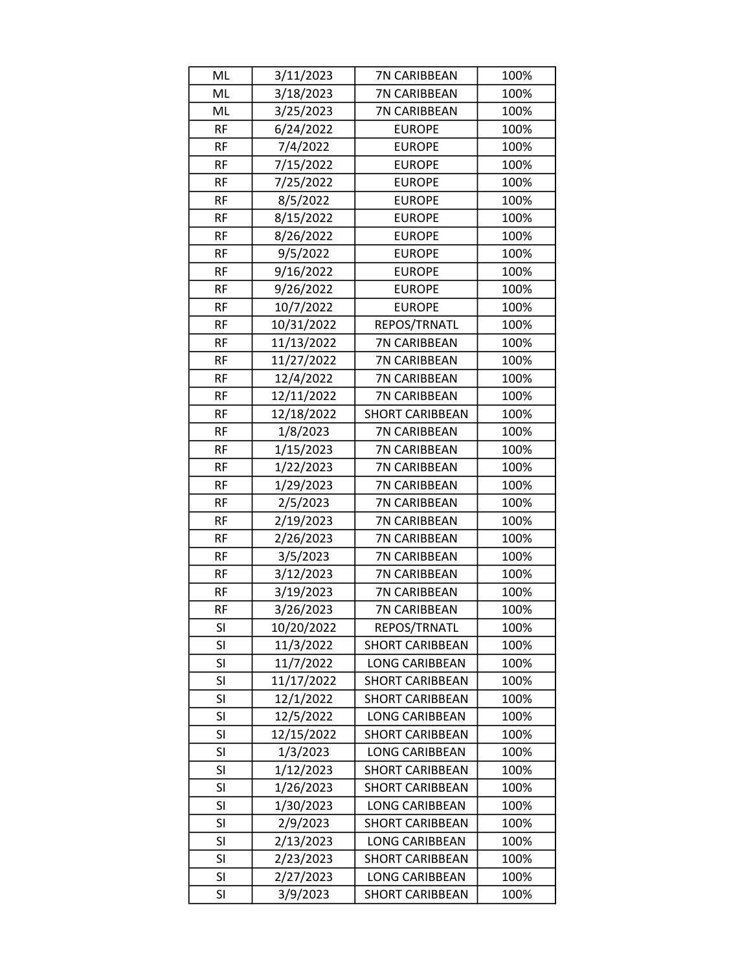| ML        | 3/11/2023  | 7N CARIBBEAN           | 100% |
|-----------|------------|------------------------|------|
| ML        | 3/18/2023  | 7N CARIBBEAN           | 100% |
| ML        | 3/25/2023  | 7N CARIBBEAN           | 100% |
| <b>RF</b> | 6/24/2022  | <b>EUROPE</b>          | 100% |
| <b>RF</b> | 7/4/2022   | <b>EUROPE</b>          | 100% |
| <b>RF</b> | 7/15/2022  | <b>EUROPE</b>          | 100% |
| <b>RF</b> | 7/25/2022  | <b>EUROPE</b>          | 100% |
| <b>RF</b> | 8/5/2022   | <b>EUROPE</b>          | 100% |
| <b>RF</b> | 8/15/2022  | <b>EUROPE</b>          | 100% |
| <b>RF</b> | 8/26/2022  | <b>EUROPE</b>          | 100% |
| <b>RF</b> | 9/5/2022   | <b>EUROPE</b>          | 100% |
| <b>RF</b> | 9/16/2022  | <b>EUROPE</b>          | 100% |
| <b>RF</b> | 9/26/2022  | <b>EUROPE</b>          | 100% |
| <b>RF</b> | 10/7/2022  | <b>EUROPE</b>          | 100% |
| <b>RF</b> | 10/31/2022 | REPOS/TRNATL           | 100% |
| <b>RF</b> | 11/13/2022 | 7N CARIBBEAN           | 100% |
| <b>RF</b> | 11/27/2022 | 7N CARIBBEAN           | 100% |
| <b>RF</b> | 12/4/2022  | 7N CARIBBEAN           | 100% |
| <b>RF</b> | 12/11/2022 | 7N CARIBBEAN           | 100% |
| <b>RF</b> | 12/18/2022 | <b>SHORT CARIBBEAN</b> | 100% |
| <b>RF</b> | 1/8/2023   | 7N CARIBBEAN           | 100% |
| <b>RF</b> | 1/15/2023  | 7N CARIBBEAN           | 100% |
| <b>RF</b> | 1/22/2023  | 7N CARIBBEAN           | 100% |
| <b>RF</b> | 1/29/2023  | 7N CARIBBEAN           | 100% |
| <b>RF</b> | 2/5/2023   | 7N CARIBBEAN           | 100% |
| <b>RF</b> | 2/19/2023  | 7N CARIBBEAN           | 100% |
| <b>RF</b> | 2/26/2023  | 7N CARIBBEAN           | 100% |
| <b>RF</b> | 3/5/2023   | 7N CARIBBEAN           | 100% |
| <b>RF</b> | 3/12/2023  | 7N CARIBBEAN           | 100% |
| <b>RF</b> | 3/19/2023  | 7N CARIBBEAN           | 100% |
| <b>RF</b> | 3/26/2023  | 7N CARIBBEAN           | 100% |
| SI        | 10/20/2022 | REPOS/TRNATL           | 100% |
| SI        | 11/3/2022  | <b>SHORT CARIBBEAN</b> | 100% |
| SI        | 11/7/2022  | <b>LONG CARIBBEAN</b>  | 100% |
| SI        | 11/17/2022 | <b>SHORT CARIBBEAN</b> | 100% |
| SI        | 12/1/2022  | <b>SHORT CARIBBEAN</b> | 100% |
| SI        | 12/5/2022  | LONG CARIBBEAN         | 100% |
| SI        | 12/15/2022 | <b>SHORT CARIBBEAN</b> | 100% |
| SI        | 1/3/2023   | LONG CARIBBEAN         | 100% |
| SI        | 1/12/2023  | <b>SHORT CARIBBEAN</b> | 100% |
| SI        | 1/26/2023  | <b>SHORT CARIBBEAN</b> | 100% |
| SI        | 1/30/2023  | LONG CARIBBEAN         | 100% |
| SI        | 2/9/2023   | <b>SHORT CARIBBEAN</b> | 100% |
| SI        | 2/13/2023  | LONG CARIBBEAN         | 100% |
| SI        | 2/23/2023  | <b>SHORT CARIBBEAN</b> | 100% |
| SI        | 2/27/2023  | LONG CARIBBEAN         | 100% |
| SI        | 3/9/2023   | <b>SHORT CARIBBEAN</b> | 100% |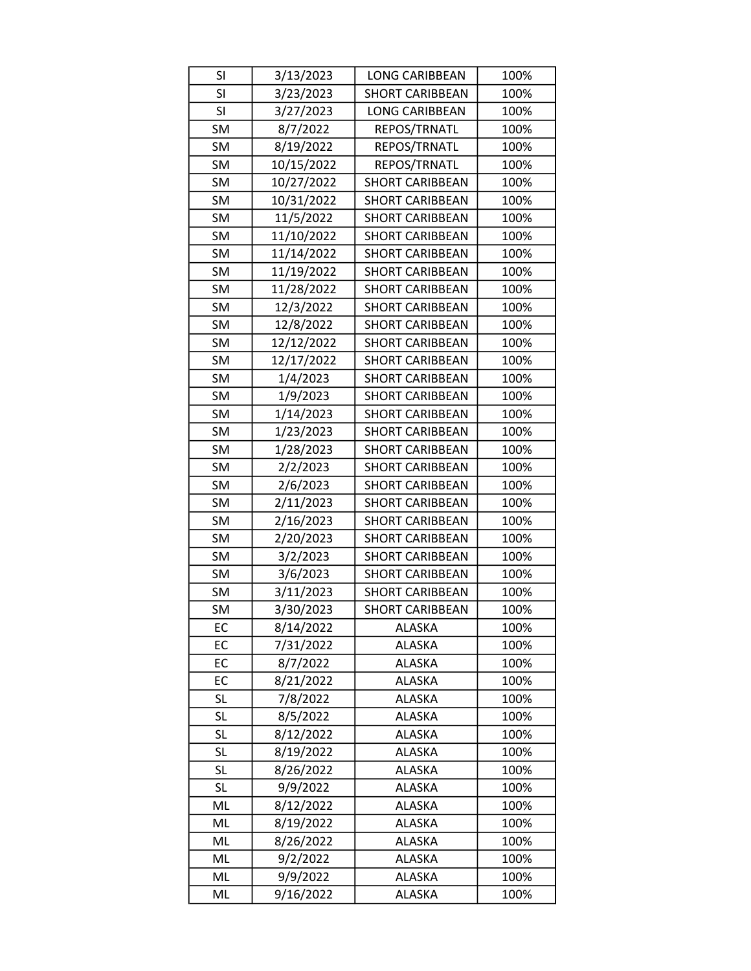| <b>SI</b> | 3/13/2023  | <b>LONG CARIBBEAN</b>  | 100% |
|-----------|------------|------------------------|------|
| <b>SI</b> | 3/23/2023  | <b>SHORT CARIBBEAN</b> | 100% |
| <b>SI</b> | 3/27/2023  | <b>LONG CARIBBEAN</b>  | 100% |
| <b>SM</b> | 8/7/2022   | REPOS/TRNATL           | 100% |
| <b>SM</b> | 8/19/2022  | REPOS/TRNATL           | 100% |
| <b>SM</b> | 10/15/2022 | REPOS/TRNATL           | 100% |
| SM        | 10/27/2022 | <b>SHORT CARIBBEAN</b> | 100% |
| <b>SM</b> | 10/31/2022 | <b>SHORT CARIBBEAN</b> | 100% |
| <b>SM</b> | 11/5/2022  | <b>SHORT CARIBBEAN</b> | 100% |
| <b>SM</b> | 11/10/2022 | <b>SHORT CARIBBEAN</b> | 100% |
| <b>SM</b> | 11/14/2022 | <b>SHORT CARIBBEAN</b> | 100% |
| <b>SM</b> | 11/19/2022 | <b>SHORT CARIBBEAN</b> | 100% |
| SM        | 11/28/2022 | <b>SHORT CARIBBEAN</b> | 100% |
| <b>SM</b> | 12/3/2022  | <b>SHORT CARIBBEAN</b> | 100% |
| <b>SM</b> | 12/8/2022  | <b>SHORT CARIBBEAN</b> | 100% |
| SM        | 12/12/2022 | <b>SHORT CARIBBEAN</b> | 100% |
| <b>SM</b> | 12/17/2022 | <b>SHORT CARIBBEAN</b> | 100% |
| SM        | 1/4/2023   | <b>SHORT CARIBBEAN</b> | 100% |
| SM        | 1/9/2023   | <b>SHORT CARIBBEAN</b> | 100% |
| SM        | 1/14/2023  | <b>SHORT CARIBBEAN</b> | 100% |
| <b>SM</b> | 1/23/2023  | <b>SHORT CARIBBEAN</b> | 100% |
| <b>SM</b> | 1/28/2023  | <b>SHORT CARIBBEAN</b> | 100% |
| <b>SM</b> | 2/2/2023   | <b>SHORT CARIBBEAN</b> | 100% |
| <b>SM</b> | 2/6/2023   | <b>SHORT CARIBBEAN</b> | 100% |
| <b>SM</b> | 2/11/2023  | <b>SHORT CARIBBEAN</b> | 100% |
| <b>SM</b> | 2/16/2023  | <b>SHORT CARIBBEAN</b> | 100% |
| <b>SM</b> | 2/20/2023  | <b>SHORT CARIBBEAN</b> | 100% |
| <b>SM</b> | 3/2/2023   | <b>SHORT CARIBBEAN</b> | 100% |
| SM        | 3/6/2023   | <b>SHORT CARIBBEAN</b> | 100% |
| <b>SM</b> | 3/11/2023  | <b>SHORT CARIBBEAN</b> | 100% |
| SM        | 3/30/2023  | <b>SHORT CARIBBEAN</b> | 100% |
| EC        | 8/14/2022  | <b>ALASKA</b>          | 100% |
| EC        | 7/31/2022  | <b>ALASKA</b>          | 100% |
| EC        | 8/7/2022   | <b>ALASKA</b>          | 100% |
| EC        | 8/21/2022  | <b>ALASKA</b>          | 100% |
| <b>SL</b> | 7/8/2022   | <b>ALASKA</b>          | 100% |
| <b>SL</b> | 8/5/2022   | <b>ALASKA</b>          | 100% |
| <b>SL</b> | 8/12/2022  | <b>ALASKA</b>          | 100% |
| <b>SL</b> | 8/19/2022  | <b>ALASKA</b>          | 100% |
| <b>SL</b> | 8/26/2022  | <b>ALASKA</b>          | 100% |
| SL        | 9/9/2022   | <b>ALASKA</b>          | 100% |
| ML        | 8/12/2022  | <b>ALASKA</b>          | 100% |
| ML        | 8/19/2022  | <b>ALASKA</b>          | 100% |
| ML        | 8/26/2022  | <b>ALASKA</b>          | 100% |
| ML        | 9/2/2022   | <b>ALASKA</b>          | 100% |
| ML        | 9/9/2022   | ALASKA                 | 100% |
| ML        | 9/16/2022  | ALASKA                 | 100% |